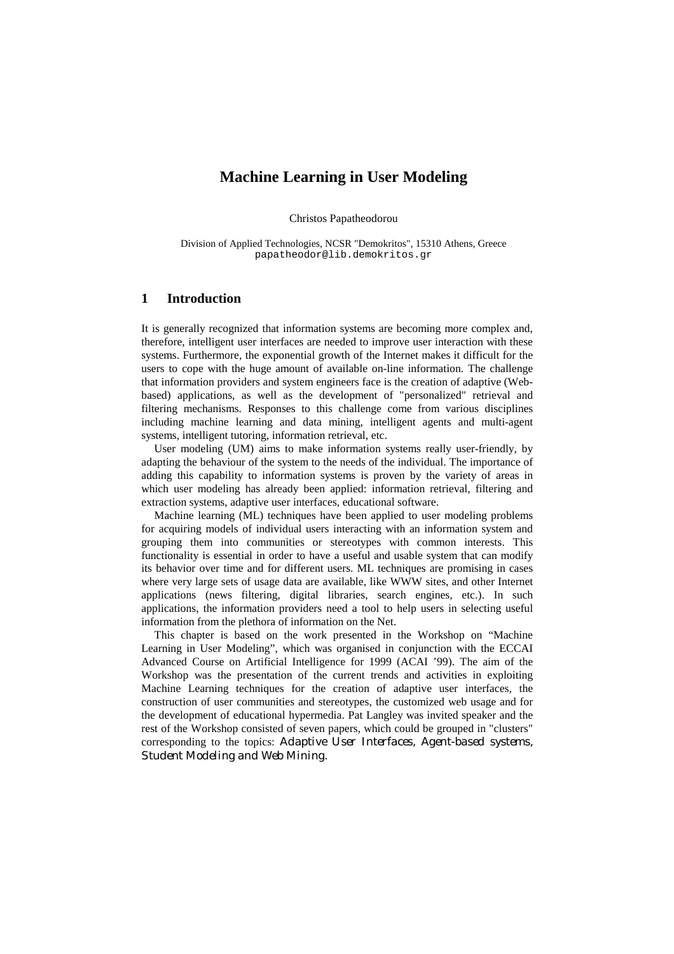# **Machine Learning in User Modeling**

Christos Papatheodorou

Division of Applied Technologies, NCSR "Demokritos", 15310 Athens, Greece papatheodor@lib.demokritos.gr

### **1 Introduction**

It is generally recognized that information systems are becoming more complex and, therefore, intelligent user interfaces are needed to improve user interaction with these systems. Furthermore, the exponential growth of the Internet makes it difficult for the users to cope with the huge amount of available on-line information. The challenge that information providers and system engineers face is the creation of adaptive (Webbased) applications, as well as the development of "personalized" retrieval and filtering mechanisms. Responses to this challenge come from various disciplines including machine learning and data mining, intelligent agents and multi-agent systems, intelligent tutoring, information retrieval, etc.

User modeling (UM) aims to make information systems really user-friendly, by adapting the behaviour of the system to the needs of the individual. The importance of adding this capability to information systems is proven by the variety of areas in which user modeling has already been applied: information retrieval, filtering and extraction systems, adaptive user interfaces, educational software.

Machine learning (ML) techniques have been applied to user modeling problems for acquiring models of individual users interacting with an information system and grouping them into communities or stereotypes with common interests. This functionality is essential in order to have a useful and usable system that can modify its behavior over time and for different users. ML techniques are promising in cases where very large sets of usage data are available, like WWW sites, and other Internet applications (news filtering, digital libraries, search engines, etc.). In such applications, the information providers need a tool to help users in selecting useful information from the plethora of information on the Net.

This chapter is based on the work presented in the Workshop on "Machine Learning in User Modeling", which was organised in conjunction with the ECCAI Advanced Course on Artificial Intelligence for 1999 (ACAI '99). The aim of the Workshop was the presentation of the current trends and activities in exploiting Machine Learning techniques for the creation of adaptive user interfaces, the construction of user communities and stereotypes, the customized web usage and for the development of educational hypermedia. Pat Langley was invited speaker and the rest of the Workshop consisted of seven papers, which could be grouped in "clusters" corresponding to the topics: *Adaptive User Interfaces, Agent-based systems, Student Modeling and Web Mining*.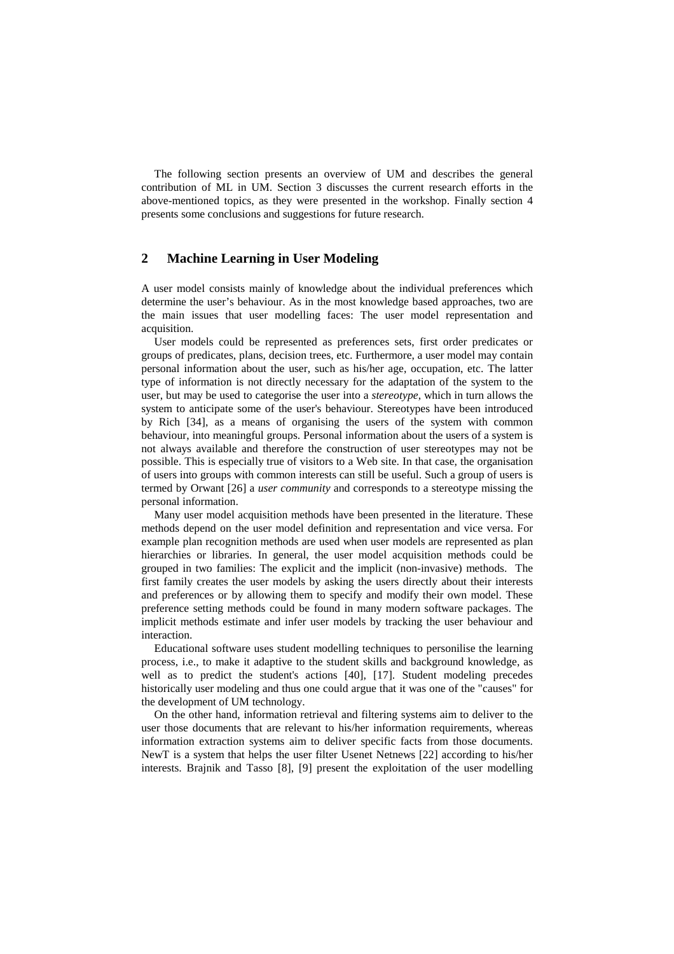The following section presents an overview of UM and describes the general contribution of ML in UM. Section 3 discusses the current research efforts in the above-mentioned topics, as they were presented in the workshop. Finally section 4 presents some conclusions and suggestions for future research.

# **2 Machine Learning in User Modeling**

A user model consists mainly of knowledge about the individual preferences which determine the user's behaviour. As in the most knowledge based approaches, two are the main issues that user modelling faces: The user model representation and acquisition.

User models could be represented as preferences sets, first order predicates or groups of predicates, plans, decision trees, etc. Furthermore, a user model may contain personal information about the user, such as his/her age, occupation, etc. The latter type of information is not directly necessary for the adaptation of the system to the user, but may be used to categorise the user into a *stereotype*, which in turn allows the system to anticipate some of the user's behaviour. Stereotypes have been introduced by Rich [34], as a means of organising the users of the system with common behaviour, into meaningful groups. Personal information about the users of a system is not always available and therefore the construction of user stereotypes may not be possible. This is especially true of visitors to a Web site. In that case, the organisation of users into groups with common interests can still be useful. Such a group of users is termed by Orwant [26] a *user community* and corresponds to a stereotype missing the personal information.

Many user model acquisition methods have been presented in the literature. These methods depend on the user model definition and representation and vice versa. For example plan recognition methods are used when user models are represented as plan hierarchies or libraries. In general, the user model acquisition methods could be grouped in two families: The explicit and the implicit (non-invasive) methods. The first family creates the user models by asking the users directly about their interests and preferences or by allowing them to specify and modify their own model. These preference setting methods could be found in many modern software packages. The implicit methods estimate and infer user models by tracking the user behaviour and interaction.

Educational software uses student modelling techniques to personilise the learning process, i.e., to make it adaptive to the student skills and background knowledge, as well as to predict the student's actions [40], [17]. Student modeling precedes historically user modeling and thus one could argue that it was one of the "causes" for the development of UM technology.

On the other hand, information retrieval and filtering systems aim to deliver to the user those documents that are relevant to his/her information requirements, whereas information extraction systems aim to deliver specific facts from those documents. NewT is a system that helps the user filter Usenet Netnews [22] according to his/her interests. Brajnik and Tasso [8], [9] present the exploitation of the user modelling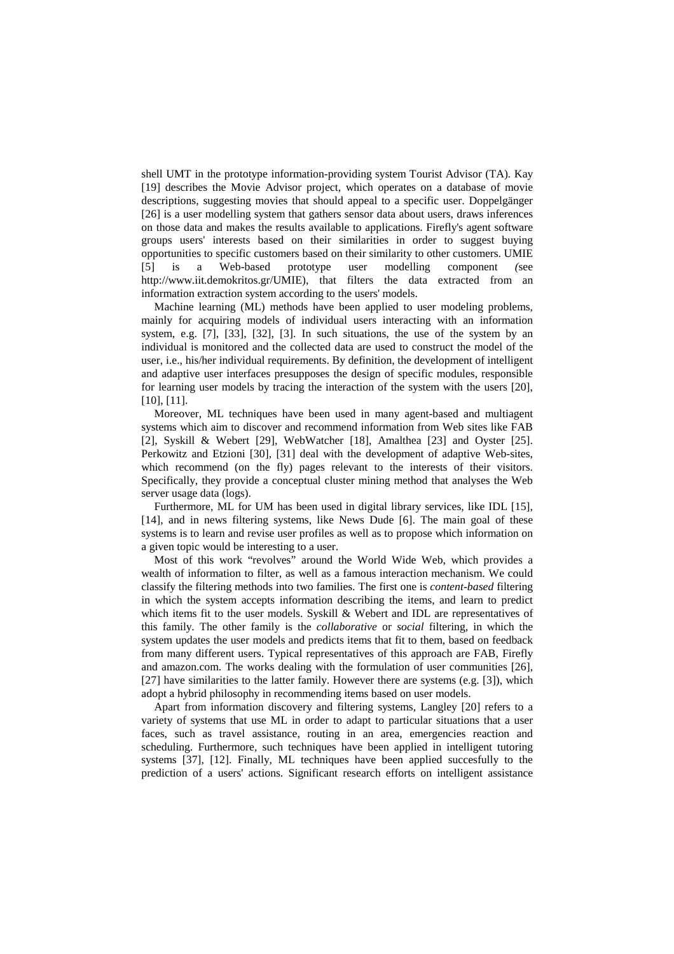shell UMT in the prototype information-providing system Tourist Advisor (TA)*.* Kay [19] describes the Movie Advisor project, which operates on a database of movie descriptions, suggesting movies that should appeal to a specific user. Doppelgänger [26] is a user modelling system that gathers sensor data about users, draws inferences on those data and makes the results available to applications. Firefly's agent software groups users' interests based on their similarities in order to suggest buying opportunities to specific customers based on their similarity to other customers. UMIE [5] is a Web-based prototype user modelling component *(*see http://www.iit.demokritos.gr/UMIE), that filters the data extracted from an information extraction system according to the users' models.

Machine learning (ML) methods have been applied to user modeling problems, mainly for acquiring models of individual users interacting with an information system, e.g. [7], [33], [32], [3]. In such situations, the use of the system by an individual is monitored and the collected data are used to construct the model of the user, i.e., his/her individual requirements. By definition, the development of intelligent and adaptive user interfaces presupposes the design of specific modules, responsible for learning user models by tracing the interaction of the system with the users [20], [10], [11].

Moreover, ML techniques have been used in many agent-based and multiagent systems which aim to discover and recommend information from Web sites like FAB [2], Syskill & Webert [29], WebWatcher [18], Amalthea [23] and Oyster [25]. Perkowitz and Etzioni [30], [31] deal with the development of adaptive Web-sites, which recommend (on the fly) pages relevant to the interests of their visitors. Specifically, they provide a conceptual cluster mining method that analyses the Web server usage data (logs).

Furthermore, ML for UM has been used in digital library services, like IDL [15], [14], and in news filtering systems, like News Dude [6]. The main goal of these systems is to learn and revise user profiles as well as to propose which information on a given topic would be interesting to a user.

Most of this work "revolves" around the World Wide Web, which provides a wealth of information to filter, as well as a famous interaction mechanism. We could classify the filtering methods into two families. The first one is *content-based* filtering in which the system accepts information describing the items, and learn to predict which items fit to the user models. Syskill & Webert and IDL are representatives of this family. The other family is the *collaborative* or *social* filtering, in which the system updates the user models and predicts items that fit to them, based on feedback from many different users. Typical representatives of this approach are FAB, Firefly and amazon.com. The works dealing with the formulation of user communities [26], [27] have similarities to the latter family. However there are systems (e.g. [3]), which adopt a hybrid philosophy in recommending items based on user models.

Apart from information discovery and filtering systems, Langley [20] refers to a variety of systems that use ML in order to adapt to particular situations that a user faces, such as travel assistance, routing in an area, emergencies reaction and scheduling. Furthermore, such techniques have been applied in intelligent tutoring systems [37], [12]. Finally, ML techniques have been applied succesfully to the prediction of a users' actions. Significant research efforts on intelligent assistance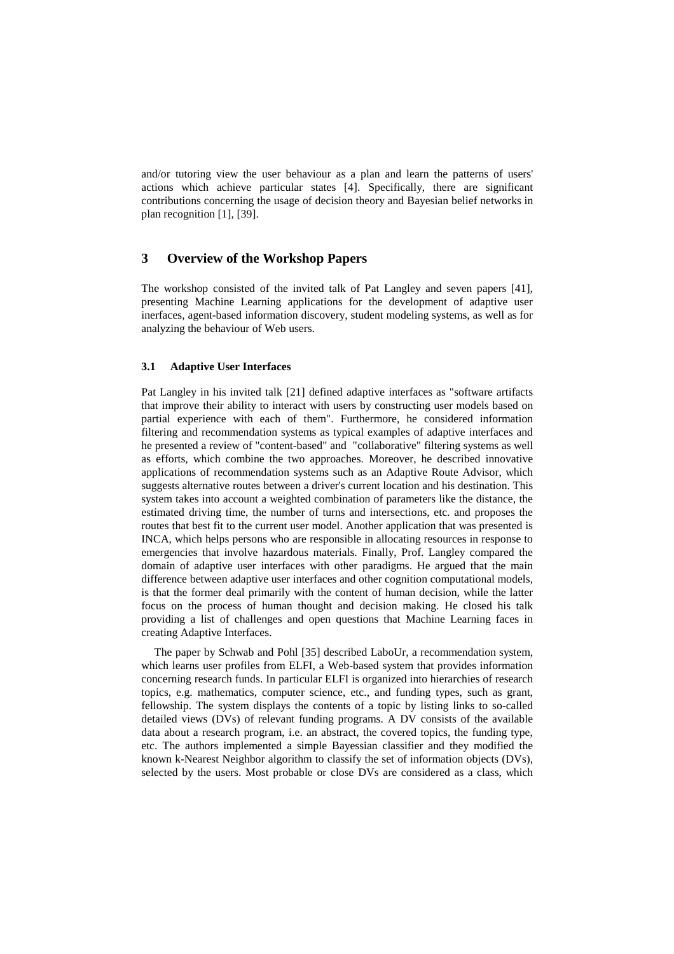and/or tutoring view the user behaviour as a plan and learn the patterns of users' actions which achieve particular states [4]. Specifically, there are significant contributions concerning the usage of decision theory and Bayesian belief networks in plan recognition [1], [39].

## **3 Overview of the Workshop Papers**

The workshop consisted of the invited talk of Pat Langley and seven papers [41], presenting Machine Learning applications for the development of adaptive user inerfaces, agent-based information discovery, student modeling systems, as well as for analyzing the behaviour of Web users.

### **3.1 Adaptive User Interfaces**

Pat Langley in his invited talk [21] defined adaptive interfaces as "software artifacts that improve their ability to interact with users by constructing user models based on partial experience with each of them". Furthermore, he considered information filtering and recommendation systems as typical examples of adaptive interfaces and he presented a review of "content-based" and "collaborative" filtering systems as well as efforts, which combine the two approaches. Moreover, he described innovative applications of recommendation systems such as an Adaptive Route Advisor, which suggests alternative routes between a driver's current location and his destination. This system takes into account a weighted combination of parameters like the distance, the estimated driving time, the number of turns and intersections, etc. and proposes the routes that best fit to the current user model. Another application that was presented is INCA, which helps persons who are responsible in allocating resources in response to emergencies that involve hazardous materials. Finally, Prof. Langley compared the domain of adaptive user interfaces with other paradigms. He argued that the main difference between adaptive user interfaces and other cognition computational models, is that the former deal primarily with the content of human decision, while the latter focus on the process of human thought and decision making. He closed his talk providing a list of challenges and open questions that Machine Learning faces in creating Adaptive Interfaces.

The paper by Schwab and Pohl [35] described LaboUr, a recommendation system, which learns user profiles from ELFI, a Web-based system that provides information concerning research funds. In particular ELFI is organized into hierarchies of research topics, e.g. mathematics, computer science, etc., and funding types, such as grant, fellowship. The system displays the contents of a topic by listing links to so-called detailed views (DVs) of relevant funding programs. A DV consists of the available data about a research program, i.e. an abstract, the covered topics, the funding type, etc. The authors implemented a simple Bayessian classifier and they modified the known k-Nearest Neighbor algorithm to classify the set of information objects (DVs), selected by the users. Most probable or close DVs are considered as a class, which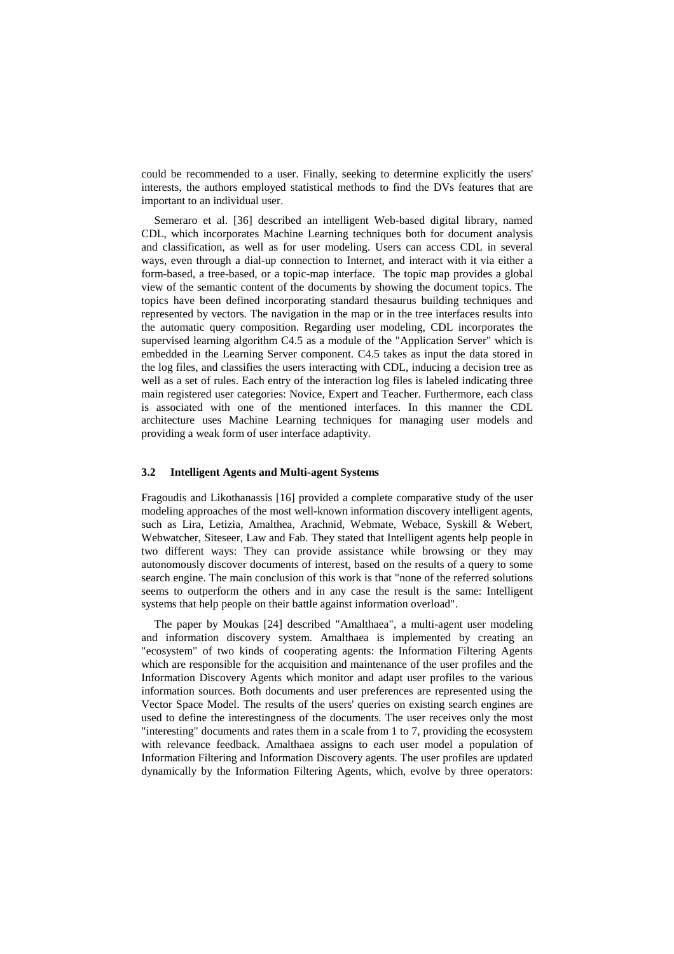could be recommended to a user. Finally, seeking to determine explicitly the users' interests, the authors employed statistical methods to find the DVs features that are important to an individual user.

Semeraro et al. [36] described an intelligent Web-based digital library, named CDL, which incorporates Machine Learning techniques both for document analysis and classification, as well as for user modeling. Users can access CDL in several ways, even through a dial-up connection to Internet, and interact with it via either a form-based, a tree-based, or a topic-map interface. The topic map provides a global view of the semantic content of the documents by showing the document topics. The topics have been defined incorporating standard thesaurus building techniques and represented by vectors. The navigation in the map or in the tree interfaces results into the automatic query composition. Regarding user modeling, CDL incorporates the supervised learning algorithm C4.5 as a module of the "Application Server" which is embedded in the Learning Server component. C4.5 takes as input the data stored in the log files, and classifies the users interacting with CDL, inducing a decision tree as well as a set of rules. Each entry of the interaction log files is labeled indicating three main registered user categories: Novice, Expert and Teacher. Furthermore, each class is associated with one of the mentioned interfaces. In this manner the CDL architecture uses Machine Learning techniques for managing user models and providing a weak form of user interface adaptivity.

#### **3.2 Intelligent Agents and Multi-agent Systems**

Fragoudis and Likothanassis [16] provided a complete comparative study of the user modeling approaches of the most well-known information discovery intelligent agents, such as Lira, Letizia, Amalthea, Arachnid, Webmate, Webace, Syskill & Webert, Webwatcher, Siteseer, Law and Fab. They stated that Intelligent agents help people in two different ways: They can provide assistance while browsing or they may autonomously discover documents of interest, based on the results of a query to some search engine. The main conclusion of this work is that "none of the referred solutions seems to outperform the others and in any case the result is the same: Intelligent systems that help people on their battle against information overload".

The paper by Moukas [24] described "Amalthaea", a multi-agent user modeling and information discovery system. Amalthaea is implemented by creating an "ecosystem" of two kinds of cooperating agents: the Information Filtering Agents which are responsible for the acquisition and maintenance of the user profiles and the Information Discovery Agents which monitor and adapt user profiles to the various information sources. Both documents and user preferences are represented using the Vector Space Model. The results of the users' queries on existing search engines are used to define the interestingness of the documents. The user receives only the most "interesting" documents and rates them in a scale from 1 to 7, providing the ecosystem with relevance feedback. Amalthaea assigns to each user model a population of Information Filtering and Information Discovery agents. The user profiles are updated dynamically by the Information Filtering Agents, which, evolve by three operators: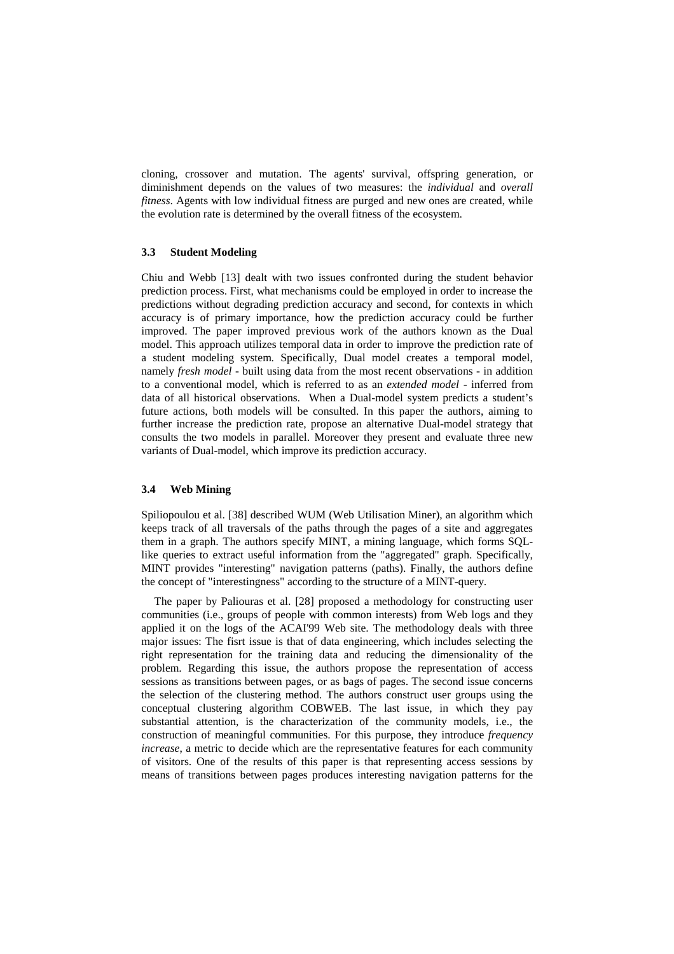cloning, crossover and mutation. The agents' survival, offspring generation, or diminishment depends on the values of two measures: the *individual* and *overall fitness*. Agents with low individual fitness are purged and new ones are created, while the evolution rate is determined by the overall fitness of the ecosystem.

#### **3.3 Student Modeling**

Chiu and Webb [13] dealt with two issues confronted during the student behavior prediction process. First, what mechanisms could be employed in order to increase the predictions without degrading prediction accuracy and second, for contexts in which accuracy is of primary importance, how the prediction accuracy could be further improved. The paper improved previous work of the authors known as the Dual model. This approach utilizes temporal data in order to improve the prediction rate of a student modeling system. Specifically, Dual model creates a temporal model, namely *fresh model* - built using data from the most recent observations - in addition to a conventional model, which is referred to as an *extended model* - inferred from data of all historical observations. When a Dual-model system predicts a student's future actions, both models will be consulted. In this paper the authors, aiming to further increase the prediction rate, propose an alternative Dual-model strategy that consults the two models in parallel. Moreover they present and evaluate three new variants of Dual-model, which improve its prediction accuracy.

### **3.4 Web Mining**

Spiliopoulou et al. [38] described WUM (Web Utilisation Miner), an algorithm which keeps track of all traversals of the paths through the pages of a site and aggregates them in a graph. The authors specify MINT, a mining language, which forms SQLlike queries to extract useful information from the "aggregated" graph. Specifically, MINT provides "interesting" navigation patterns (paths). Finally, the authors define the concept of "interestingness" according to the structure of a MINT-query.

The paper by Paliouras et al. [28] proposed a methodology for constructing user communities (i.e., groups of people with common interests) from Web logs and they applied it on the logs of the ACAI'99 Web site. The methodology deals with three major issues: The fisrt issue is that of data engineering, which includes selecting the right representation for the training data and reducing the dimensionality of the problem. Regarding this issue, the authors propose the representation of access sessions as transitions between pages, or as bags of pages. The second issue concerns the selection of the clustering method. The authors construct user groups using the conceptual clustering algorithm COBWEB. The last issue, in which they pay substantial attention, is the characterization of the community models, i.e., the construction of meaningful communities. For this purpose, they introduce *frequency increase*, a metric to decide which are the representative features for each community of visitors. One of the results of this paper is that representing access sessions by means of transitions between pages produces interesting navigation patterns for the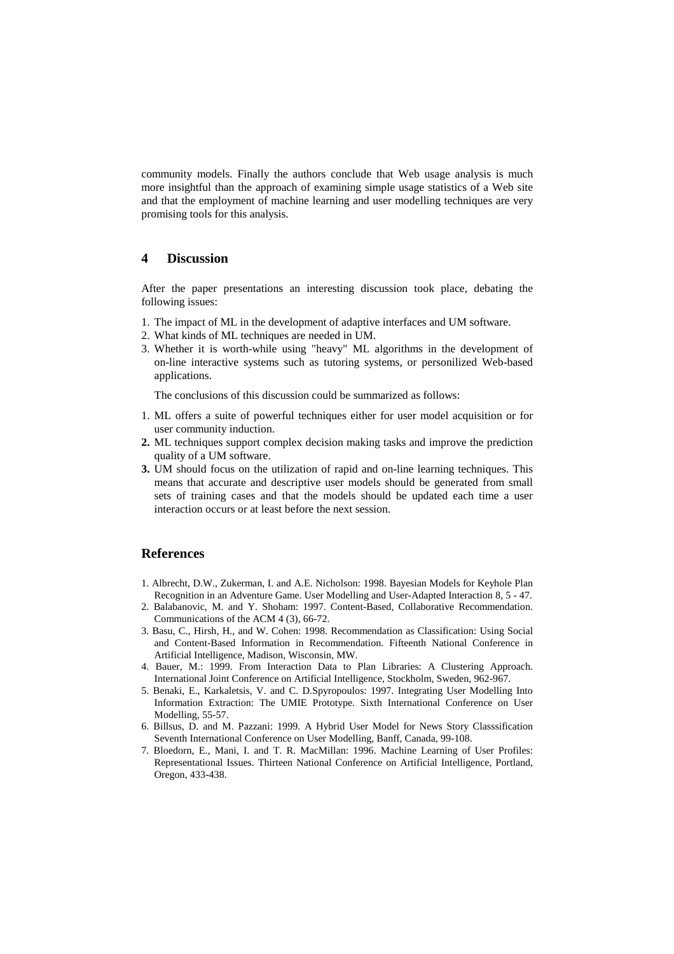community models. Finally the authors conclude that Web usage analysis is much more insightful than the approach of examining simple usage statistics of a Web site and that the employment of machine learning and user modelling techniques are very promising tools for this analysis.

### **4 Discussion**

After the paper presentations an interesting discussion took place, debating the following issues:

- 1. The impact of ML in the development of adaptive interfaces and UM software.
- 2. What kinds of ML techniques are needed in UM.
- 3. Whether it is worth-while using "heavy" ML algorithms in the development of on-line interactive systems such as tutoring systems, or personilized Web-based applications.

The conclusions of this discussion could be summarized as follows:

- 1. ML offers a suite of powerful techniques either for user model acquisition or for user community induction.
- **2.** ML techniques support complex decision making tasks and improve the prediction quality of a UM software.
- **3.** UM should focus on the utilization of rapid and on-line learning techniques. This means that accurate and descriptive user models should be generated from small sets of training cases and that the models should be updated each time a user interaction occurs or at least before the next session.

# **References**

- 1. Albrecht, D.W., Zukerman, I. and A.E. Nicholson: 1998. Bayesian Models for Keyhole Plan Recognition in an Adventure Game. User Modelling and User-Adapted Interaction 8, 5 - 47.
- 2. Balabanovic, M. and Y. Shoham: 1997. Content-Based, Collaborative Recommendation. Communications of the ACM 4 (3), 66-72.
- 3. Basu, C., Hirsh, H., and W. Cohen: 1998. Recommendation as Classification: Using Social and Content-Based Information in Recommendation. Fifteenth National Conference in Artificial Intelligence, Madison, Wisconsin, MW.
- 4. Bauer, M.: 1999. From Interaction Data to Plan Libraries: A Clustering Approach. International Joint Conference on Artificial Intelligence, Stockholm, Sweden, 962-967.
- 5. Benaki, E., Karkaletsis, V. and C. D.Spyropoulos: 1997. Integrating User Modelling Into Information Extraction: The UMIE Prototype. Sixth International Conference on User Modelling, 55-57.
- 6. Billsus, D. and M. Pazzani: 1999. A Hybrid User Model for News Story Classsification Seventh International Conference on User Modelling, Banff, Canada, 99-108.
- 7. Bloedorn, E., Mani, I. and T. R. MacMillan: 1996. Machine Learning of User Profiles: Representational Issues. Thirteen National Conference on Artificial Intelligence, Portland, Oregon, 433-438.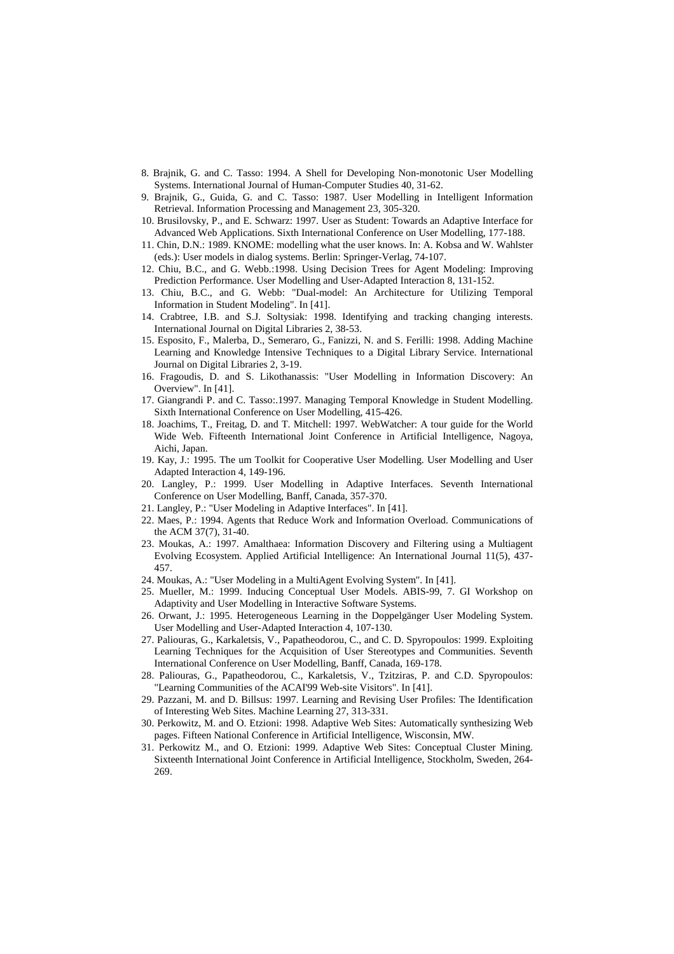- 8. Brajnik, G. and C. Tasso: 1994. A Shell for Developing Non-monotonic User Modelling Systems. International Journal of Human-Computer Studies 40, 31-62.
- 9. Brajnik, G., Guida, G. and C. Tasso: 1987. User Modelling in Intelligent Information Retrieval. Information Processing and Management 23, 305-320.
- 10. Brusilovsky, P., and E. Schwarz: 1997. User as Student: Towards an Adaptive Interface for Advanced Web Applications. Sixth International Conference on User Modelling, 177-188.
- 11. Chin, D.N.: 1989. KNOME: modelling what the user knows. In: A. Kobsa and W. Wahlster (eds.): User models in dialog systems. Berlin: Springer-Verlag, 74-107.
- 12. Chiu, B.C., and G. Webb.:1998. Using Decision Trees for Agent Modeling: Improving Prediction Performance. User Modelling and User-Adapted Interaction 8, 131-152.
- 13. Chiu, B.C., and G. Webb: "Dual-model: An Architecture for Utilizing Temporal Information in Student Modeling". In [41].
- 14. Crabtree, I.B. and S.J. Soltysiak: 1998. Identifying and tracking changing interests. International Journal on Digital Libraries 2, 38-53.
- 15. Esposito, F., Malerba, D., Semeraro, G., Fanizzi, N. and S. Ferilli: 1998. Adding Machine Learning and Knowledge Intensive Techniques to a Digital Library Service. International Journal on Digital Libraries 2, 3-19.
- 16. Fragoudis, D. and S. Likothanassis: "User Modelling in Information Discovery: An Overview". In [41].
- 17. Giangrandi P. and C. Tasso:.1997. Managing Temporal Knowledge in Student Modelling. Sixth International Conference on User Modelling, 415-426.
- 18. Joachims, T., Freitag, D. and T. Mitchell: 1997. WebWatcher: A tour guide for the World Wide Web. Fifteenth International Joint Conference in Artificial Intelligence, Nagoya, Aichi, Japan.
- 19. Kay, J.: 1995. The um Toolkit for Cooperative User Modelling. User Modelling and User Adapted Interaction 4, 149-196.
- 20. Langley, P.: 1999. User Modelling in Adaptive Interfaces. Seventh International Conference on User Modelling, Banff, Canada, 357-370.
- 21. Langley, P.: "User Modeling in Adaptive Interfaces". In [41].
- 22. Maes, P.: 1994. Agents that Reduce Work and Information Overload. Communications of the ACM 37(7), 31-40.
- 23. Moukas, A.: 1997. Amalthaea: Information Discovery and Filtering using a Multiagent Evolving Ecosystem. Applied Artificial Intelligence: An International Journal 11(5), 437- 457.
- 24. Moukas, A.: "User Modeling in a MultiAgent Evolving System". In [41].
- 25. Mueller, M.: 1999. Inducing Conceptual User Models. ABIS-99, 7. GI Workshop on Adaptivity and User Modelling in Interactive Software Systems.
- 26. Orwant, J.: 1995. Heterogeneous Learning in the Doppelgänger User Modeling System. User Modelling and User-Adapted Interaction 4, 107-130.
- 27. Paliouras, G., Karkaletsis, V., Papatheodorou, C., and C. D. Spyropoulos: 1999. Exploiting Learning Techniques for the Acquisition of User Stereotypes and Communities. Seventh International Conference on User Modelling, Banff, Canada, 169-178.
- 28. Paliouras, G., Papatheodorou, C., Karkaletsis, V., Tzitziras, P. and C.D. Spyropoulos: "Learning Communities of the ACAI'99 Web-site Visitors". In [41].
- 29. Pazzani, M. and D. Billsus: 1997. Learning and Revising User Profiles: The Identification of Interesting Web Sites. Machine Learning 27, 313-331.
- 30. Perkowitz, M. and O. Etzioni: 1998. Adaptive Web Sites: Automatically synthesizing Web pages. Fifteen National Conference in Artificial Intelligence, Wisconsin, MW.
- 31. Perkowitz M., and O. Etzioni: 1999. Adaptive Web Sites: Conceptual Cluster Mining. Sixteenth International Joint Conference in Artificial Intelligence, Stockholm, Sweden, 264- 269.